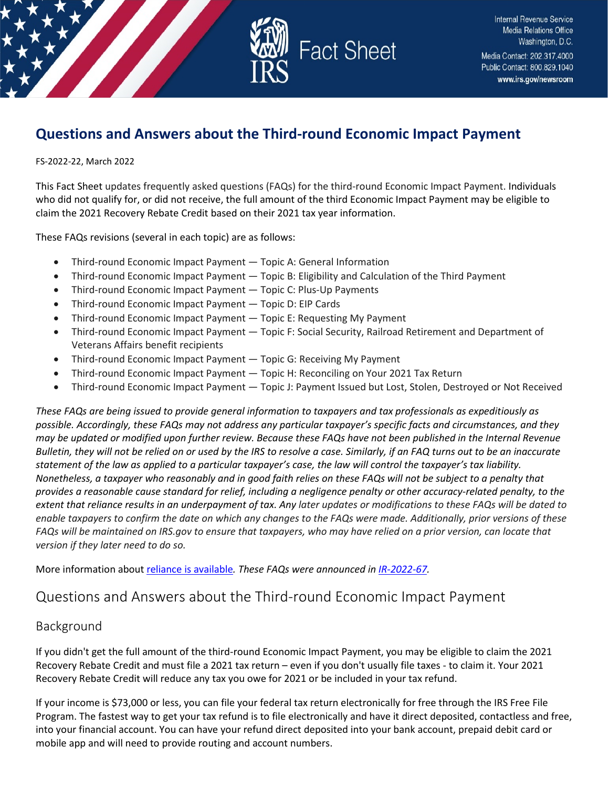

# **Questions and Answers about the Third-round Economic Impact Payment**

FS-2022-22, March 2022

This Fact Sheet updates frequently asked questions (FAQs) for the third-round Economic Impact Payment. Individuals who did not qualify for, or did not receive, the full amount of the third Economic Impact Payment may be eligible to claim the 2021 Recovery Rebate Credit based on their 2021 tax year information.

These FAQs revisions (several in each topic) are as follows:

- Third-round Economic Impact Payment Topic A: General Information
- Third-round Economic Impact Payment Topic B: Eligibility and Calculation of the Third Payment
- Third-round Economic Impact Payment Topic C: Plus-Up Payments
- Third-round Economic Impact Payment Topic D: EIP Cards
- Third-round Economic Impact Payment Topic E: Requesting My Payment
- Third-round Economic Impact Payment Topic F: Social Security, Railroad Retirement and Department of Veterans Affairs benefit recipients
- Third-round Economic Impact Payment Topic G: Receiving My Payment
- Third-round Economic Impact Payment Topic H: Reconciling on Your 2021 Tax Return
- Third-round Economic Impact Payment Topic J: Payment Issued but Lost, Stolen, Destroyed or Not Received

*These FAQs are being issued to provide general information to taxpayers and tax professionals as expeditiously as possible. Accordingly, these FAQs may not address any particular taxpayer's specific facts and circumstances, and they may be updated or modified upon further review. Because these FAQs have not been published in the Internal Revenue Bulletin, they will not be relied on or used by the IRS to resolve a case. Similarly, if an FAQ turns out to be an inaccurate statement of the law as applied to a particular taxpayer's case, the law will control the taxpayer's tax liability. Nonetheless, a taxpayer who reasonably and in good faith relies on these FAQs will not be subject to a penalty that provides a reasonable cause standard for relief, including a negligence penalty or other accuracy-related penalty, to the extent that reliance results in an underpayment of tax. Any later updates or modifications to these FAQs will be dated to enable taxpayers to confirm the date on which any changes to the FAQs were made. Additionally, prior versions of these FAQs will be maintained on IRS.gov to ensure that taxpayers, who may have relied on a prior version, can locate that version if they later need to do so.*

More information abou[t reliance is available](https://www.irs.gov/newsroom/general-overview-of-taxpayer-reliance-on-guidance-published-in-the-internal-revenue-bulletin-and-faqs)*. These FAQs were announced i[n IR-2022-67.](https://www.irs.gov/newsroom/irs-provides-revised-frequently-asked-questions-on-third-round-economic-impact-payment)*

## Questions and Answers about the Third-round Economic Impact Payment

## Background

If you didn't get the full amount of the third-round Economic Impact Payment, you may be eligible to claim the 2021 Recovery Rebate Credit and must file a 2021 tax return – even if you don't usually file taxes - to claim it. Your 2021 Recovery Rebate Credit will reduce any tax you owe for 2021 or be included in your tax refund.

If your income is \$73,000 or less, you can file your federal tax return electronically for free through the IRS Free File Program. The fastest way to get your tax refund is to file electronically and have it direct deposited, contactless and free, into your financial account. You can have your refund direct deposited into your bank account, prepaid debit card or mobile app and will need to provide routing and account numbers.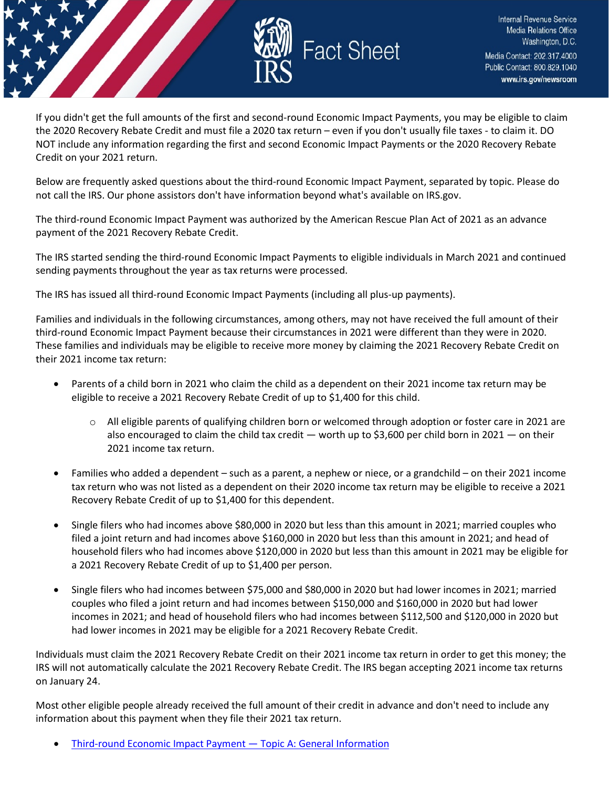

If you didn't get the full amounts of the first and second-round Economic Impact Payments, you may be eligible to claim the 2020 Recovery Rebate Credit and must file a 2020 tax return – even if you don't usually file taxes - to claim it. DO NOT include any information regarding the first and second Economic Impact Payments or the 2020 Recovery Rebate Credit on your 2021 return.

Below are frequently asked questions about the third-round Economic Impact Payment, separated by topic. Please do not call the IRS. Our phone assistors don't have information beyond what's available on IRS.gov.

The third-round Economic Impact Payment was authorized by the American Rescue Plan Act of 2021 as an advance payment of the 2021 Recovery Rebate Credit.

The IRS started sending the third-round Economic Impact Payments to eligible individuals in March 2021 and continued sending payments throughout the year as tax returns were processed.

The IRS has issued all third-round Economic Impact Payments (including all plus-up payments).

Families and individuals in the following circumstances, among others, may not have received the full amount of their third-round Economic Impact Payment because their circumstances in 2021 were different than they were in 2020. These families and individuals may be eligible to receive more money by claiming the 2021 Recovery Rebate Credit on their 2021 income tax return:

- Parents of a child born in 2021 who claim the child as a dependent on their 2021 income tax return may be eligible to receive a 2021 Recovery Rebate Credit of up to \$1,400 for this child.
	- o All eligible parents of qualifying children born or welcomed through adoption or foster care in 2021 are also encouraged to claim the child tax credit — worth up to \$3,600 per child born in 2021 — on their 2021 income tax return.
- Families who added a dependent such as a parent, a nephew or niece, or a grandchild on their 2021 income tax return who was not listed as a dependent on their 2020 income tax return may be eligible to receive a 2021 Recovery Rebate Credit of up to \$1,400 for this dependent.
- Single filers who had incomes above \$80,000 in 2020 but less than this amount in 2021; married couples who filed a joint return and had incomes above \$160,000 in 2020 but less than this amount in 2021; and head of household filers who had incomes above \$120,000 in 2020 but less than this amount in 2021 may be eligible for a 2021 Recovery Rebate Credit of up to \$1,400 per person.
- Single filers who had incomes between \$75,000 and \$80,000 in 2020 but had lower incomes in 2021; married couples who filed a joint return and had incomes between \$150,000 and \$160,000 in 2020 but had lower incomes in 2021; and head of household filers who had incomes between \$112,500 and \$120,000 in 2020 but had lower incomes in 2021 may be eligible for a 2021 Recovery Rebate Credit.

Individuals must claim the 2021 Recovery Rebate Credit on their 2021 income tax return in order to get this money; the IRS will not automatically calculate the 2021 Recovery Rebate Credit. The IRS began accepting 2021 income tax returns on January 24.

Most other eligible people already received the full amount of their credit in advance and don't need to include any information about this payment when they file their 2021 tax return.

• Third-round [Economic Impact Payment —](#page-2-0) Topic A: General I[nformation](#page-2-0)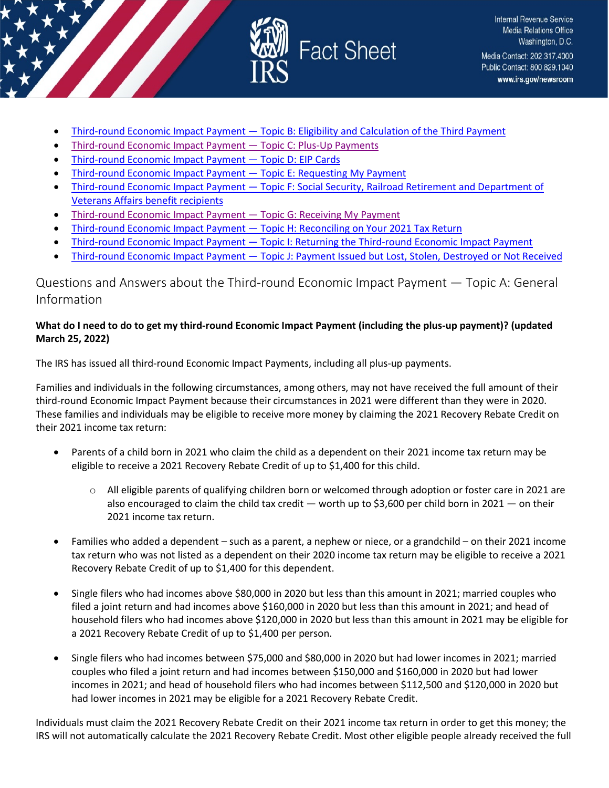

- Third-round [Economic Impact Payment —](#page-5-0) [Topic B: Eligibility and Calculation of the Third Payment](#page-5-0)
- Third-round [Economic Impact Payment —](#page-9-0) Topic C: Plus[-Up Payments](#page-9-0)
- Third-round [Economic Impact Payment —](#page-10-0) [Topic D: EIP Cards](#page-10-0)
- Third-round [Economic Impact Payment —](#page-11-0) [Topic E: Requesting My Payment](#page-11-0)
- Third-round Economic Impact Payment [Topic F: Social Security, Railroad Retirement and Department of](#page-12-0)  [Veterans Affairs benefit recipients](#page-12-0)
- Third-round [Economic Impact Payment —](#page-13-0) [Topic G: Receiving My Payment](#page-13-0)
- Third-round [Economic Impact Payment —](#page-16-0) [Topic H: Reconciling on Your 2021 Tax Return](#page-16-0)
- Third-round Economic Impact Payment [Topic I: Returning the Third-round](#page-17-0) [Economic Impact Payment](#page-17-0)
- Third-round [Economic Impact](#page-19-0) Payment [Topic J: Payment Issued but Lost, Stolen, Destroyed or Not Received](#page-19-0)

<span id="page-2-0"></span>Questions and Answers about the Third-round Economic Impact Payment — Topic A: General Information

## **What do I need to do to get my third-round Economic Impact Payment (including the plus-up payment)? (updated March 25, 2022)**

The IRS has issued all third-round Economic Impact Payments, including all plus-up payments.

Families and individuals in the following circumstances, among others, may not have received the full amount of their third-round Economic Impact Payment because their circumstances in 2021 were different than they were in 2020. These families and individuals may be eligible to receive more money by claiming the 2021 Recovery Rebate Credit on their 2021 income tax return:

- Parents of a child born in 2021 who claim the child as a dependent on their 2021 income tax return may be eligible to receive a 2021 Recovery Rebate Credit of up to \$1,400 for this child.
	- o All eligible parents of qualifying children born or welcomed through adoption or foster care in 2021 are also encouraged to claim the child tax credit — worth up to \$3,600 per child born in 2021 — on their 2021 income tax return.
- Families who added a dependent such as a parent, a nephew or niece, or a grandchild on their 2021 income tax return who was not listed as a dependent on their 2020 income tax return may be eligible to receive a 2021 Recovery Rebate Credit of up to \$1,400 for this dependent.
- Single filers who had incomes above \$80,000 in 2020 but less than this amount in 2021; married couples who filed a joint return and had incomes above \$160,000 in 2020 but less than this amount in 2021; and head of household filers who had incomes above \$120,000 in 2020 but less than this amount in 2021 may be eligible for a 2021 Recovery Rebate Credit of up to \$1,400 per person.
- Single filers who had incomes between \$75,000 and \$80,000 in 2020 but had lower incomes in 2021; married couples who filed a joint return and had incomes between \$150,000 and \$160,000 in 2020 but had lower incomes in 2021; and head of household filers who had incomes between \$112,500 and \$120,000 in 2020 but had lower incomes in 2021 may be eligible for a 2021 Recovery Rebate Credit.

Individuals must claim the 2021 Recovery Rebate Credit on their 2021 income tax return in order to get this money; the IRS will not automatically calculate the 2021 Recovery Rebate Credit. Most other eligible people already received the full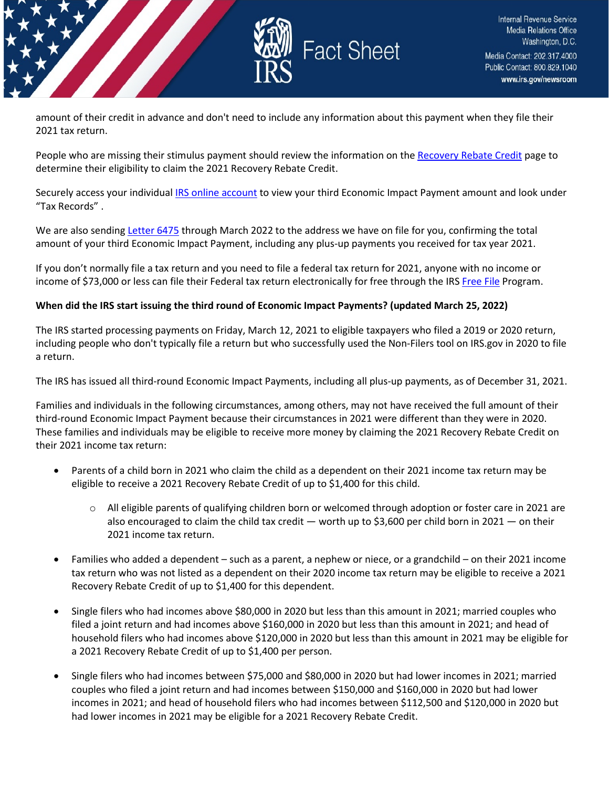

amount of their credit in advance and don't need to include any information about this payment when they file their 2021 tax return.

People who are missing their stimulus payment should review the information on the [Recovery Rebate Credit](https://www.irs.gov/newsroom/recovery-rebate-credit) page to determine their eligibility to claim the 2021 Recovery Rebate Credit.

Securely access your individual [IRS online account](https://www.irs.gov/payments/your-online-account) to view your third Economic Impact Payment amount and look under "Tax Records" .

We are also sendin[g Letter 6475](https://www.irs.gov/individuals/understanding-your-letter-6475) through March 2022 to the address we have on file for you, confirming the total amount of your third Economic Impact Payment, including any plus-up payments you received for tax year 2021.

If you don't normally file a tax return and you need to file a federal tax return for 2021, anyone with no income or income of \$73,000 or less can file their Federal tax return electronically for free through the IR[S Free File](https://www.irs.gov/filing/free-file-do-your-federal-taxes-for-free) Program.

#### **When did the IRS start issuing the third round of Economic Impact Payments? (updated March 25, 2022)**

The IRS started processing payments on Friday, March 12, 2021 to eligible taxpayers who filed a 2019 or 2020 return, including people who don't typically file a return but who successfully used the Non-Filers tool on IRS.gov in 2020 to file a return.

The IRS has issued all third-round Economic Impact Payments, including all plus-up payments, as of December 31, 2021.

Families and individuals in the following circumstances, among others, may not have received the full amount of their third-round Economic Impact Payment because their circumstances in 2021 were different than they were in 2020. These families and individuals may be eligible to receive more money by claiming the 2021 Recovery Rebate Credit on their 2021 income tax return:

- Parents of a child born in 2021 who claim the child as a dependent on their 2021 income tax return may be eligible to receive a 2021 Recovery Rebate Credit of up to \$1,400 for this child.
	- o All eligible parents of qualifying children born or welcomed through adoption or foster care in 2021 are also encouraged to claim the child tax credit — worth up to \$3,600 per child born in 2021 — on their 2021 income tax return.
- Families who added a dependent such as a parent, a nephew or niece, or a grandchild on their 2021 income tax return who was not listed as a dependent on their 2020 income tax return may be eligible to receive a 2021 Recovery Rebate Credit of up to \$1,400 for this dependent.
- Single filers who had incomes above \$80,000 in 2020 but less than this amount in 2021; married couples who filed a joint return and had incomes above \$160,000 in 2020 but less than this amount in 2021; and head of household filers who had incomes above \$120,000 in 2020 but less than this amount in 2021 may be eligible for a 2021 Recovery Rebate Credit of up to \$1,400 per person.
- Single filers who had incomes between \$75,000 and \$80,000 in 2020 but had lower incomes in 2021; married couples who filed a joint return and had incomes between \$150,000 and \$160,000 in 2020 but had lower incomes in 2021; and head of household filers who had incomes between \$112,500 and \$120,000 in 2020 but had lower incomes in 2021 may be eligible for a 2021 Recovery Rebate Credit.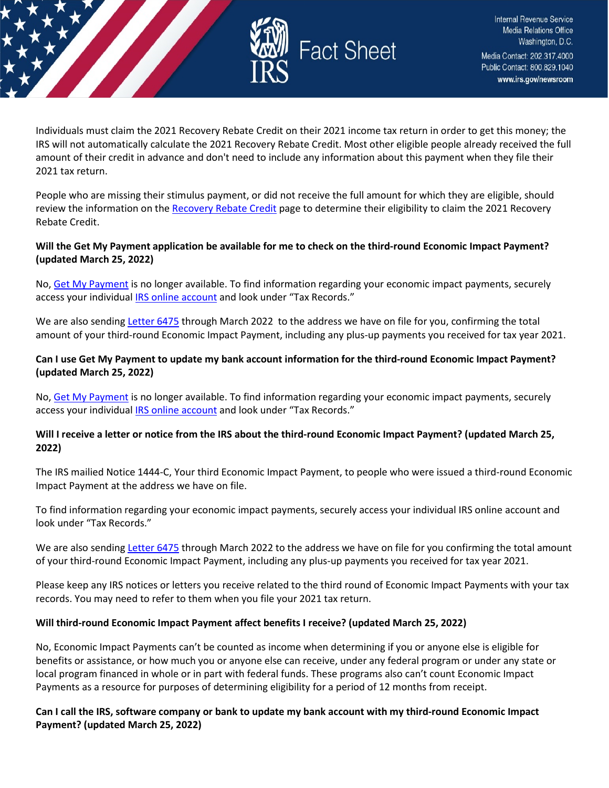

Individuals must claim the 2021 Recovery Rebate Credit on their 2021 income tax return in order to get this money; the IRS will not automatically calculate the 2021 Recovery Rebate Credit. Most other eligible people already received the full amount of their credit in advance and don't need to include any information about this payment when they file their 2021 tax return.

People who are missing their stimulus payment, or did not receive the full amount for which they are eligible, should review the information on the [Recovery Rebate Credit](https://www.irs.gov/newsroom/recovery-rebate-credit) page to determine their eligibility to claim the 2021 Recovery Rebate Credit.

## **Will the Get My Payment application be available for me to check on the third-round Economic Impact Payment? (updated March 25, 2022)**

No, [Get My Payment](https://www.irs.gov/coronavirus/get-my-payment) is no longer available. To find information regarding your economic impact payments, securely access your individual [IRS online account](https://www.irs.gov/payments/your-online-account) and look under "Tax Records."

We are also sendin[g Letter 6475](https://www.irs.gov/individuals/understanding-your-letter-6475) through March 2022 to the address we have on file for you, confirming the total amount of your third-round Economic Impact Payment, including any plus-up payments you received for tax year 2021.

## **Can I use Get My Payment to update my bank account information for the third-round Economic Impact Payment? (updated March 25, 2022)**

No, [Get My Payment](https://www.irs.gov/coronavirus/get-my-payment) is no longer available. To find information regarding your economic impact payments, securely access your individual **IRS online account** and look under "Tax Records."

## **Will I receive a letter or notice from the IRS about the third-round Economic Impact Payment? (updated March 25, 2022)**

The IRS mailied Notice 1444-C, Your third Economic Impact Payment, to people who were issued a third-round Economic Impact Payment at the address we have on file.

To find information regarding your economic impact payments, securely access your individual IRS online account and look under "Tax Records."

We are also sending [Letter 6475](https://www.irs.gov/individuals/understanding-your-letter-6475) through March 2022 to the address we have on file for you confirming the total amount of your third-round Economic Impact Payment, including any plus-up payments you received for tax year 2021.

Please keep any IRS notices or letters you receive related to the third round of Economic Impact Payments with your tax records. You may need to refer to them when you file your 2021 tax return.

## **Will third-round Economic Impact Payment affect benefits I receive? (updated March 25, 2022)**

No, Economic Impact Payments can't be counted as income when determining if you or anyone else is eligible for benefits or assistance, or how much you or anyone else can receive, under any federal program or under any state or local program financed in whole or in part with federal funds. These programs also can't count Economic Impact Payments as a resource for purposes of determining eligibility for a period of 12 months from receipt.

**Can I call the IRS, software company or bank to update my bank account with my third-round Economic Impact Payment? (updated March 25, 2022)**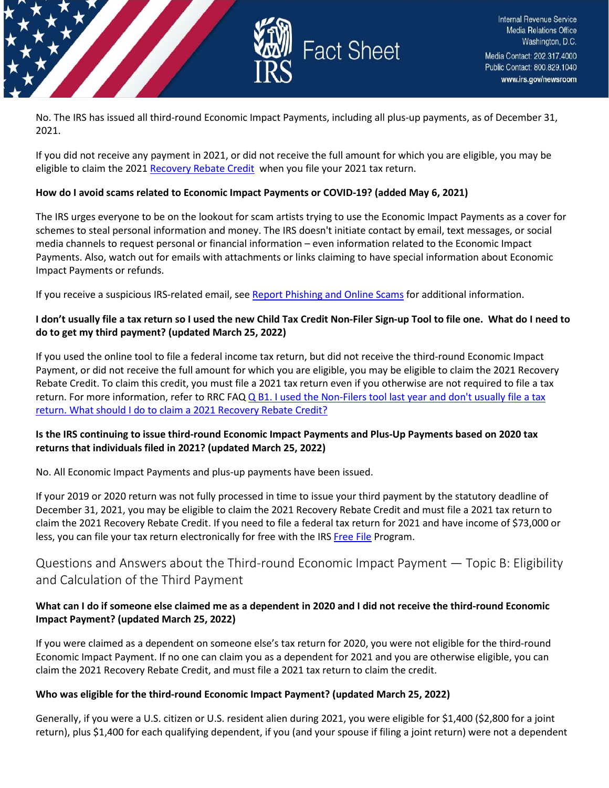

No. The IRS has issued all third-round Economic Impact Payments, including all plus-up payments, as of December 31, 2021.

If you did not receive any payment in 2021, or did not receive the full amount for which you are eligible, you may be eligible to claim the 2021 [Recovery Rebate Credit](https://www.irs.gov/newsroom/recovery-rebate-credit) when you file your 2021 tax return.

#### **How do I avoid scams related to Economic Impact Payments or COVID-19? (added May 6, 2021)**

The IRS urges everyone to be on the lookout for scam artists trying to use the Economic Impact Payments as a cover for schemes to steal personal information and money. The IRS doesn't initiate contact by email, text messages, or social media channels to request personal or financial information – even information related to the Economic Impact Payments. Also, watch out for emails with attachments or links claiming to have special information about Economic Impact Payments or refunds.

If you receive a suspicious IRS-related email, see [Report Phishing and Online Scams](https://www.irs.gov/privacy-disclosure/report-phishing) for additional information.

## **I don't usually file a tax return so I used the new Child Tax Credit Non-Filer Sign-up Tool to file one. What do I need to do to get my third payment? (updated March 25, 2022)**

If you used the online tool to file a federal income tax return, but did not receive the third-round Economic Impact Payment, or did not receive the full amount for which you are eligible, you may be eligible to claim the 2021 Recovery Rebate Credit. To claim this credit, you must file a 2021 tax return even if you otherwise are not required to file a tax return. For more information, refer to RRC FAQ Q B1. I used the Non-Filers tool last year and don't usually file a tax [return. What should I do to claim a 2021 Recovery Rebate Credit?](https://www.irs.gov/newsroom/2021-recovery-rebate-credit-topic-b-claiming-the-2021-recovery-rebate-credit-if-you-arent-required-to-file-a-tax-return#collapseCollapsible1642700574081)

## **Is the IRS continuing to issue third-round Economic Impact Payments and Plus-Up Payments based on 2020 tax returns that individuals filed in 2021? (updated March 25, 2022)**

No. All Economic Impact Payments and plus-up payments have been issued.

If your 2019 or 2020 return was not fully processed in time to issue your third payment by the statutory deadline of December 31, 2021, you may be eligible to claim the 2021 Recovery Rebate Credit and must file a 2021 tax return to claim the 2021 Recovery Rebate Credit. If you need to file a federal tax return for 2021 and have income of \$73,000 or less, you can file your tax return electronically for free with the IR[S Free File](https://www.irs.gov/filing/free-file-do-your-federal-taxes-for-free) Program.

## <span id="page-5-0"></span>Questions and Answers about the Third-round Economic Impact Payment — Topic B: Eligibility and Calculation of the Third Payment

## **What can I do if someone else claimed me as a dependent in 2020 and I did not receive the third-round Economic Impact Payment? (updated March 25, 2022)**

If you were claimed as a dependent on someone else's tax return for 2020, you were not eligible for the third-round Economic Impact Payment. If no one can claim you as a dependent for 2021 and you are otherwise eligible, you can claim the 2021 Recovery Rebate Credit, and must file a 2021 tax return to claim the credit.

## **Who was eligible for the third-round Economic Impact Payment? (updated March 25, 2022)**

Generally, if you were a U.S. citizen or U.S. resident alien during 2021, you were eligible for \$1,400 (\$2,800 for a joint return), plus \$1,400 for each qualifying dependent, if you (and your spouse if filing a joint return) were not a dependent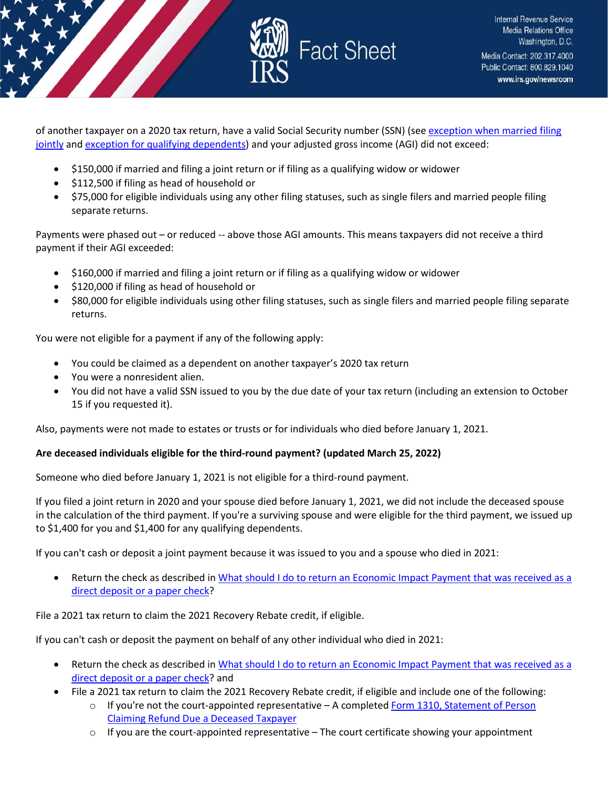

of another taxpayer on a 2020 tax return, have a valid Social Security number (SSN) (see exception when married filing [jointly](https://www.irs.gov/newsroom/questions-and-answers-about-the-third-economic-impact-payment-topic-b-eligibility-and-calculation-of-the-third-payment#marriedfilingjointly) an[d exception for qualifying dependents\)](https://www.irs.gov/newsroom/questions-and-answers-about-the-third-economic-impact-payment-topic-b-eligibility-and-calculation-of-the-third-payment#qualifyingdependent) and your adjusted gross income (AGI) did not exceed:

- \$150,000 if married and filing a joint return or if filing as a qualifying widow or widower
- \$112,500 if filing as head of household or
- \$75,000 for eligible individuals using any other filing statuses, such as single filers and married people filing separate returns.

Payments were phased out – or reduced -- above those AGI amounts. This means taxpayers did not receive a third payment if their AGI exceeded:

- \$160,000 if married and filing a joint return or if filing as a qualifying widow or widower
- \$120,000 if filing as head of household or
- \$80,000 for eligible individuals using other filing statuses, such as single filers and married people filing separate returns.

You were not eligible for a payment if any of the following apply:

- You could be claimed as a dependent on another taxpayer's 2020 tax return
- You were a nonresident alien.
- You did not have a valid SSN issued to you by the due date of your tax return (including an extension to October 15 if you requested it).

Also, payments were not made to estates or trusts or for individuals who died before January 1, 2021.

#### **Are deceased individuals eligible for the third-round payment? (updated March 25, 2022)**

Someone who died before January 1, 2021 is not eligible for a third-round payment.

If you filed a joint return in 2020 and your spouse died before January 1, 2021, we did not include the deceased spouse in the calculation of the third payment. If you're a surviving spouse and were eligible for the third payment, we issued up to \$1,400 for you and \$1,400 for any qualifying dependents.

If you can't cash or deposit a joint payment because it was issued to you and a spouse who died in 2021:

• Return the check as described i[n What should I do to return an Economic Impact Payment that was received as a](https://www.irs.gov/newsroom/questions-and-answers-about-the-third-economic-impact-payment-topic-i-returning-the-third-economic-impact-payment#return-eip)  [direct deposit or a paper check?](https://www.irs.gov/newsroom/questions-and-answers-about-the-third-economic-impact-payment-topic-i-returning-the-third-economic-impact-payment#return-eip)

File a 2021 tax return to claim the 2021 Recovery Rebate credit, if eligible.

If you can't cash or deposit the payment on behalf of any other individual who died in 2021:

- Return the check as described in [What should I do to return an Economic Impact Payment that was received as a](https://www.irs.gov/newsroom/questions-and-answers-about-the-third-economic-impact-payment-topic-i-returning-the-third-economic-impact-payment#return-eip)  direct [deposit or a paper check?](https://www.irs.gov/newsroom/questions-and-answers-about-the-third-economic-impact-payment-topic-i-returning-the-third-economic-impact-payment#return-eip) and
- File a 2021 tax return to claim the 2021 Recovery Rebate credit, if eligible and include one of the following:
	- $\circ$  If you're not the court-appointed representative A completed Form 1310, Statement of Person [Claiming Refund Due a Deceased Taxpayer](https://www.irs.gov/forms-pubs/about-form-1310)
	- $\circ$  If you are the court-appointed representative The court certificate showing your appointment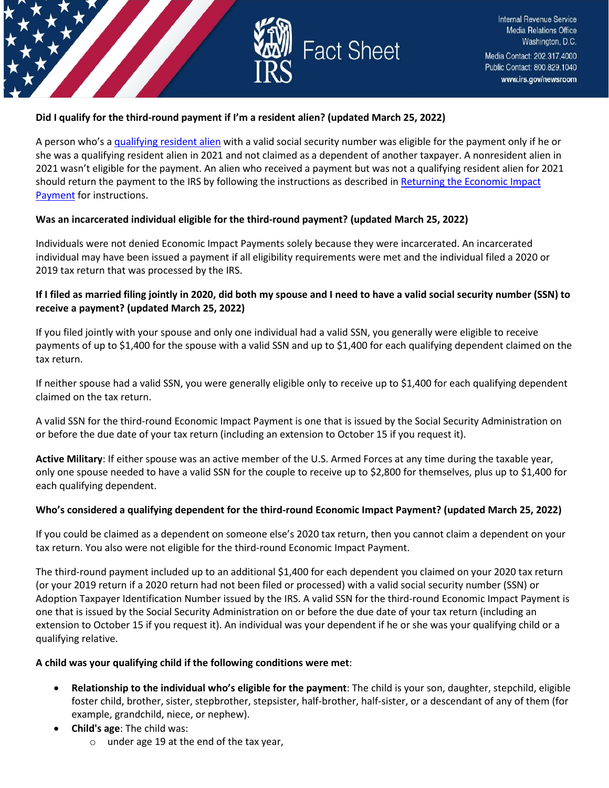

## **Did I qualify for the third-round payment if I'm a resident alien? (updated March 25, 2022)**

A person who's a [qualifying resident alien](https://www.irs.gov/individuals/international-taxpayers/determining-an-individuals-tax-residency-status) with a valid social security number was eligible for the payment only if he or she was a qualifying resident alien in 2021 and not claimed as a dependent of another taxpayer. A nonresident alien in 2021 wasn't eligible for the payment. An alien who received a payment but was not a qualifying resident alien for 2021 should return the payment to the IRS by following the instructions as described in [Returning the Economic Impact](https://www.irs.gov/newsroom/questions-and-answers-about-the-third-economic-impact-payment-topic-i-returning-the-third-economic-impact-payment)  [Payment](https://www.irs.gov/newsroom/questions-and-answers-about-the-third-economic-impact-payment-topic-i-returning-the-third-economic-impact-payment) for instructions.

## **Was an incarcerated individual eligible for the third-round payment? (updated March 25, 2022)**

Individuals were not denied Economic Impact Payments solely because they were incarcerated. An incarcerated individual may have been issued a payment if all eligibility requirements were met and the individual filed a 2020 or 2019 tax return that was processed by the IRS.

## **If I filed as married filing jointly in 2020, did both my spouse and I need to have a valid social security number (SSN) to receive a payment? (updated March 25, 2022)**

If you filed jointly with your spouse and only one individual had a valid SSN, you generally were eligible to receive payments of up to \$1,400 for the spouse with a valid SSN and up to \$1,400 for each qualifying dependent claimed on the tax return.

If neither spouse had a valid SSN, you were generally eligible only to receive up to \$1,400 for each qualifying dependent claimed on the tax return.

A valid SSN for the third-round Economic Impact Payment is one that is issued by the Social Security Administration on or before the due date of your tax return (including an extension to October 15 if you request it).

**Active Military**: If either spouse was an active member of the U.S. Armed Forces at any time during the taxable year, only one spouse needed to have a valid SSN for the couple to receive up to \$2,800 for themselves, plus up to \$1,400 for each qualifying dependent.

#### **Who's considered a qualifying dependent for the third-round Economic Impact Payment? (updated March 25, 2022)**

If you could be claimed as a dependent on someone else's 2020 tax return, then you cannot claim a dependent on your tax return. You also were not eligible for the third-round Economic Impact Payment.

The third-round payment included up to an additional \$1,400 for each dependent you claimed on your 2020 tax return (or your 2019 return if a 2020 return had not been filed or processed) with a valid social security number (SSN) or Adoption Taxpayer Identification Number issued by the IRS. A valid SSN for the third-round Economic Impact Payment is one that is issued by the Social Security Administration on or before the due date of your tax return (including an extension to October 15 if you request it). An individual was your dependent if he or she was your qualifying child or a qualifying relative.

#### **A child was your qualifying child if the following conditions were met**:

- **Relationship to the individual who's eligible for the payment**: The child is your son, daughter, stepchild, eligible foster child, brother, sister, stepbrother, stepsister, half-brother, half-sister, or a descendant of any of them (for example, grandchild, niece, or nephew).
- **Child's age**: The child was:
	- o under age 19 at the end of the tax year,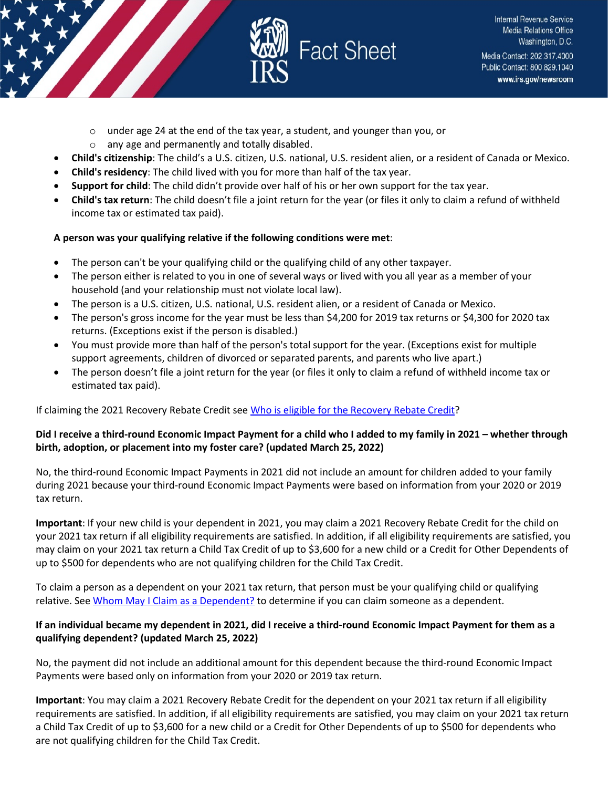

- o under age 24 at the end of the tax year, a student, and younger than you, or
- o any age and permanently and totally disabled.
- **Child's citizenship**: The child's a U.S. citizen, U.S. national, U.S. resident alien, or a resident of Canada or Mexico.
- **Child's residency**: The child lived with you for more than half of the tax year.
- **Support for child**: The child didn't provide over half of his or her own support for the tax year.
- **Child's tax return**: The child doesn't file a joint return for the year (or files it only to claim a refund of withheld income tax or estimated tax paid).

## **A person was your qualifying relative if the following conditions were met**:

- The person can't be your qualifying child or the qualifying child of any other taxpayer.
- The person either is related to you in one of several ways or lived with you all year as a member of your household (and your relationship must not violate local law).
- The person is a U.S. citizen, U.S. national, U.S. resident alien, or a resident of Canada or Mexico.
- The person's gross income for the year must be less than \$4,200 for 2019 tax returns or \$4,300 for 2020 tax returns. (Exceptions exist if the person is disabled.)
- You must provide more than half of the person's total support for the year. (Exceptions exist for multiple support agreements, children of divorced or separated parents, and parents who live apart.)
- The person doesn't file a joint return for the year (or files it only to claim a refund of withheld income tax or estimated tax paid).

## If claiming the 2021 Recovery Rebate Credit se[e Who is eligible for the Recovery Rebate Credit?](https://www.irs.gov/newsroom/2021-recovery-rebate-credit-topic-c-eligibility-for-claiming-a-recovery-rebate-credit-on-a-2021-tax-return)

## **Did I receive a third-round Economic Impact Payment for a child who I added to my family in 2021 – whether through birth, adoption, or placement into my foster care? (updated March 25, 2022)**

No, the third-round Economic Impact Payments in 2021 did not include an amount for children added to your family during 2021 because your third-round Economic Impact Payments were based on information from your 2020 or 2019 tax return.

**Important**: If your new child is your dependent in 2021, you may claim a 2021 Recovery Rebate Credit for the child on your 2021 tax return if all eligibility requirements are satisfied. In addition, if all eligibility requirements are satisfied, you may claim on your 2021 tax return a Child Tax Credit of up to \$3,600 for a new child or a Credit for Other Dependents of up to \$500 for dependents who are not qualifying children for the Child Tax Credit.

To claim a person as a dependent on your 2021 tax return, that person must be your qualifying child or qualifying relative. Se[e Whom May I Claim as a Dependent?](https://www.irs.gov/help/ita/whom-may-i-claim-as-a-dependent) to determine if you can claim someone as a dependent.

## **If an individual became my dependent in 2021, did I receive a third-round Economic Impact Payment for them as a qualifying dependent? (updated March 25, 2022)**

No, the payment did not include an additional amount for this dependent because the third-round Economic Impact Payments were based only on information from your 2020 or 2019 tax return.

**Important**: You may claim a 2021 Recovery Rebate Credit for the dependent on your 2021 tax return if all eligibility requirements are satisfied. In addition, if all eligibility requirements are satisfied, you may claim on your 2021 tax return a Child Tax Credit of up to \$3,600 for a new child or a Credit for Other Dependents of up to \$500 for dependents who are not qualifying children for the Child Tax Credit.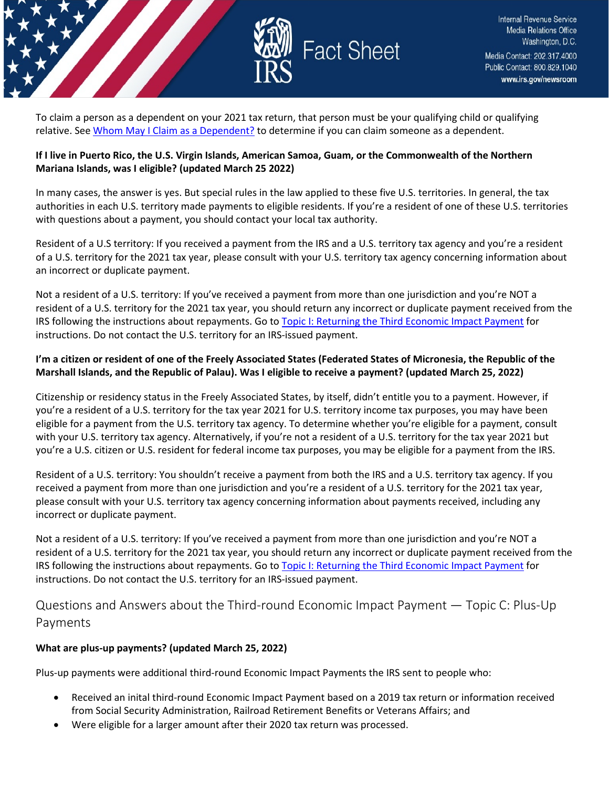

To claim a person as a dependent on your 2021 tax return, that person must be your qualifying child or qualifying relative. Se[e Whom](https://www.irs.gov/help/ita/whom-may-i-claim-as-a-dependent) [May I Claim as a Dependent?](https://www.irs.gov/help/ita/whom-may-i-claim-as-a-dependent) to determine if you can claim someone as a dependent.

## **If I live in Puerto Rico, the U.S. Virgin Islands, American Samoa, Guam, or the Commonwealth of the Northern Mariana Islands, was I eligible? (updated March 25 2022)**

In many cases, the answer is yes. But special rules in the law applied to these five U.S. territories. In general, the tax authorities in each U.S. territory made payments to eligible residents. If you're a resident of one of these U.S. territories with questions about a payment, you should contact your local tax authority.

Resident of a U.S territory: If you received a payment from the IRS and a U.S. territory tax agency and you're a resident of a U.S. territory for the 2021 tax year, please consult with your U.S. territory tax agency concerning information about an incorrect or duplicate payment.

Not a resident of a U.S. territory: If you've received a payment from more than one jurisdiction and you're NOT a resident of a U.S. territory for the 2021 tax year, you should return any incorrect or duplicate payment received from the IRS following the instructions about repayments. Go to [Topic I: Returning the Third Economic Impact Payment](https://www.irs.gov/newsroom/questions-and-answers-about-the-third-economic-impact-payment-topic-i-returning-the-third-economic-impact-payment) for instructions. Do not contact the U.S. territory for an IRS-issued payment.

## **I'm a citizen or resident of one of the Freely Associated States (Federated States of Micronesia, the Republic of the Marshall Islands, and the Republic of Palau). Was I eligible to receive a payment? (updated March 25, 2022)**

Citizenship or residency status in the Freely Associated States, by itself, didn't entitle you to a payment. However, if you're a resident of a U.S. territory for the tax year 2021 for U.S. territory income tax purposes, you may have been eligible for a payment from the U.S. territory tax agency. To determine whether you're eligible for a payment, consult with your U.S. territory tax agency. Alternatively, if you're not a resident of a U.S. territory for the tax year 2021 but you're a U.S. citizen or U.S. resident for federal income tax purposes, you may be eligible for a payment from the IRS.

Resident of a U.S. territory: You shouldn't receive a payment from both the IRS and a U.S. territory tax agency. If you received a payment from more than one jurisdiction and you're a resident of a U.S. territory for the 2021 tax year, please consult with your U.S. territory tax agency concerning information about payments received, including any incorrect or duplicate payment.

Not a resident of a U.S. territory: If you've received a payment from more than one jurisdiction and you're NOT a resident of a U.S. territory for the 2021 tax year, you should return any incorrect or duplicate payment received from the IRS following the instructions about repayments. Go to [Topic I: Returning the Third Economic Impact Payment](https://www.irs.gov/newsroom/questions-and-answers-about-the-third-economic-impact-payment-topic-i-returning-the-third-economic-impact-payment) for instructions. Do not contact the U.S. territory for an IRS-issued payment.

<span id="page-9-0"></span>Questions and Answers about the Third-round Economic Impact Payment — Topic C: Plus-Up Payments

## **What are plus-up payments? (updated March 25, 2022)**

Plus-up payments were additional third-round Economic Impact Payments the IRS sent to people who:

- Received an inital third-round Economic Impact Payment based on a 2019 tax return or information received from Social Security Administration, Railroad Retirement Benefits or Veterans Affairs; and
- Were eligible for a larger amount after their 2020 tax return was processed.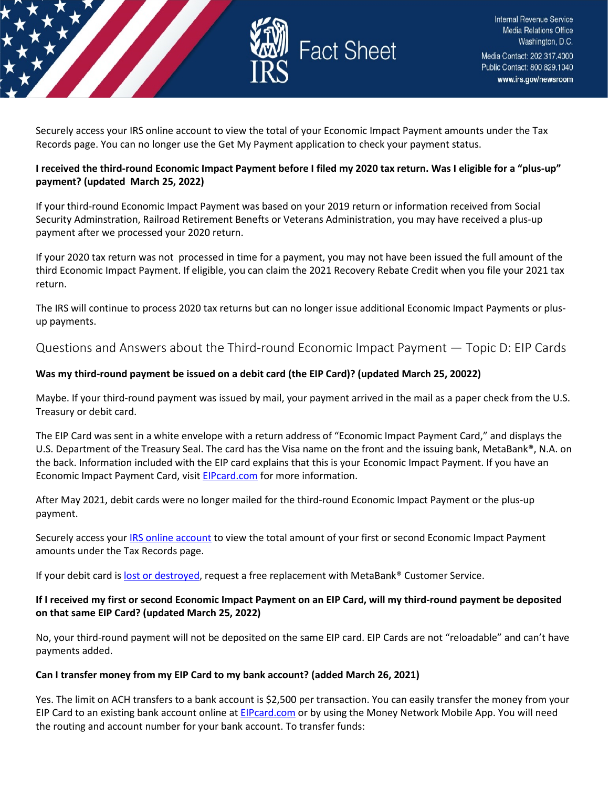

Securely access your IRS online account to view the total of your Economic Impact Payment amounts under the Tax Records page. You can no longer use the Get My Payment application to check your payment status.

#### **I received the third-round Economic Impact Payment before I filed my 2020 tax return. Was I eligible for a "plus-up" payment? (updated March 25, 2022)**

If your third-round Economic Impact Payment was based on your 2019 return or information received from Social Security Adminstration, Railroad Retirement Benefts or Veterans Administration, you may have received a plus-up payment after we processed your 2020 return.

If your 2020 tax return was not processed in time for a payment, you may not have been issued the full amount of the third Economic Impact Payment. If eligible, you can claim the 2021 Recovery Rebate Credit when you file your 2021 tax return.

The IRS will continue to process 2020 tax returns but can no longer issue additional Economic Impact Payments or plusup payments.

<span id="page-10-0"></span>Questions and Answers about the Third-round Economic Impact Payment — Topic D: EIP Cards

## **Was my third-round payment be issued on a debit card (the EIP Card)? (updated March 25, 20022)**

Maybe. If your third-round payment was issued by mail, your payment arrived in the mail as a paper check from the U.S. Treasury or debit card.

The EIP Card was sent in a white envelope with a return address of "Economic Impact Payment Card," and displays the U.S. Department of the Treasury Seal. The card has the Visa name on the front and the issuing bank, MetaBank®, N.A. on the back. Information included with the EIP card explains that this is your Economic Impact Payment. If you have an Economic Impact Payment Card, visit [EIPcard.com](https://www.eipcard.com/) for more information.

After May 2021, debit cards were no longer mailed for the third-round Economic Impact Payment or the plus-up payment.

Securely access your [IRS online account](https://www.irs.gov/payments/your-online-account) to view the total amount of your first or second Economic Impact Payment amounts under the Tax Records page.

If your debit card i[s lost or destroyed,](https://www.irs.gov/newsroom/questions-and-answers-about-the-third-economic-impact-payment-topic-d-eip-cards#metabank) request a free replacement with MetaBank® Customer Service.

## **If I received my first or second Economic Impact Payment on an EIP Card, will my third-round payment be deposited on that same EIP Card? (updated March 25, 2022)**

No, your third-round payment will not be deposited on the same EIP card. EIP Cards are not "reloadable" and can't have payments added.

## **Can I transfer money from my EIP Card to my bank account? (added March 26, 2021)**

Yes. The limit on ACH transfers to a bank account is \$2,500 per transaction. You can easily transfer the money from your EIP Card to an existing bank account online at [EIPcard.com](https://www.eipcard.com/) or by using the Money Network Mobile App. You will need the routing and account number for your bank account. To transfer funds: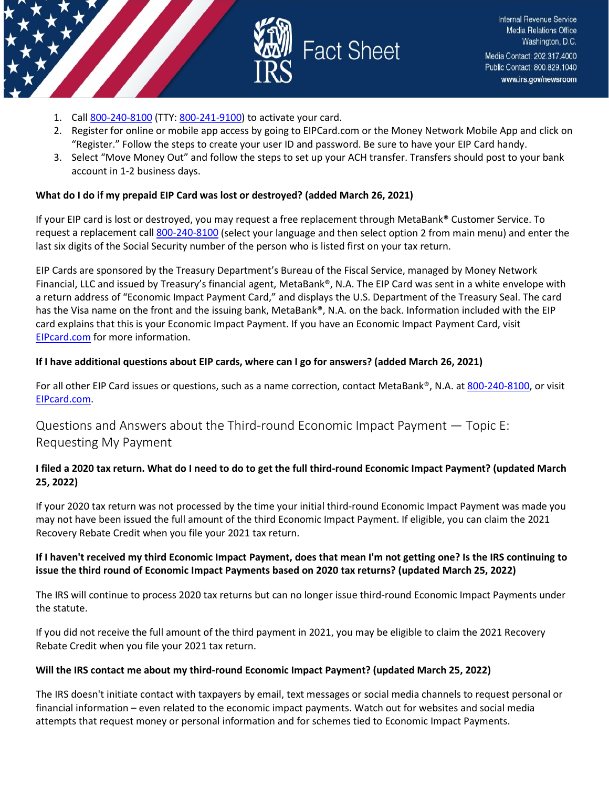

- 1. Cal[l 800-240-8100](tel:800-240-8100) (TTY[: 800-241-9100\)](tel:800-241-9100) to activate your card.
- 2. Register for online or mobile app access by going to EIPCard.com or the Money Network Mobile App and click on "Register." Follow the steps to create your user ID and password. Be sure to have your EIP Card handy.
- 3. Select "Move Money Out" and follow the steps to set up your ACH transfer. Transfers should post to your bank account in 1-2 business days.

#### **What do I do if my prepaid EIP Card was lost or destroyed? (added March 26, 2021)**

If your EIP card is lost or destroyed, you may request a free replacement through MetaBank® Customer Service. To request a replacement call [800-240-8100](tel:800-240-8100) (select your language and then select option 2 from main menu) and enter the last six digits of the Social Security number of the person who is listed first on your tax return.

EIP Cards are sponsored by the Treasury Department's Bureau of the Fiscal Service, managed by Money Network Financial, LLC and issued by Treasury's financial agent, MetaBank®, N.A. The EIP Card was sent in a white envelope with a return address of "Economic Impact Payment Card," and displays the U.S. Department of the Treasury Seal. The card has the Visa name on the front and the issuing bank, MetaBank®, N.A. on the back. Information included with the EIP card explains that this is your Economic Impact Payment. If you have an Economic Impact Payment Card, visit [EIPcard.com](https://www.eipcard.com/) for more information.

#### **If I have additional questions about EIP cards, where can I go for answers? (added March 26, 2021)**

For all other EIP Card issues or questions, such as a name correction, contact MetaBank®, N.A. at [800-240-8100,](tel:800-240-8100) or visit [EIPcard.com.](https://www.eipcard.com/)

<span id="page-11-0"></span>Questions and Answers about the Third-round Economic Impact Payment — Topic E: Requesting My Payment

## **I filed a 2020 tax return. What do I need to do to get the full third-round Economic Impact Payment? (updated March 25, 2022)**

If your 2020 tax return was not processed by the time your initial third-round Economic Impact Payment was made you may not have been issued the full amount of the third Economic Impact Payment. If eligible, you can claim the 2021 Recovery Rebate Credit when you file your 2021 tax return.

#### **If I haven't received my third Economic Impact Payment, does that mean I'm not getting one? Is the IRS continuing to issue the third round of Economic Impact Payments based on 2020 tax returns? (updated March 25, 2022)**

The IRS will continue to process 2020 tax returns but can no longer issue third-round Economic Impact Payments under the statute.

If you did not receive the full amount of the third payment in 2021, you may be eligible to claim the 2021 Recovery Rebate Credit when you file your 2021 tax return.

#### **Will the IRS contact me about my third-round Economic Impact Payment? (updated March 25, 2022)**

The IRS doesn't initiate contact with taxpayers by email, text messages or social media channels to request personal or financial information – even related to the economic impact payments. Watch out for websites and social media attempts that request money or personal information and for schemes tied to Economic Impact Payments.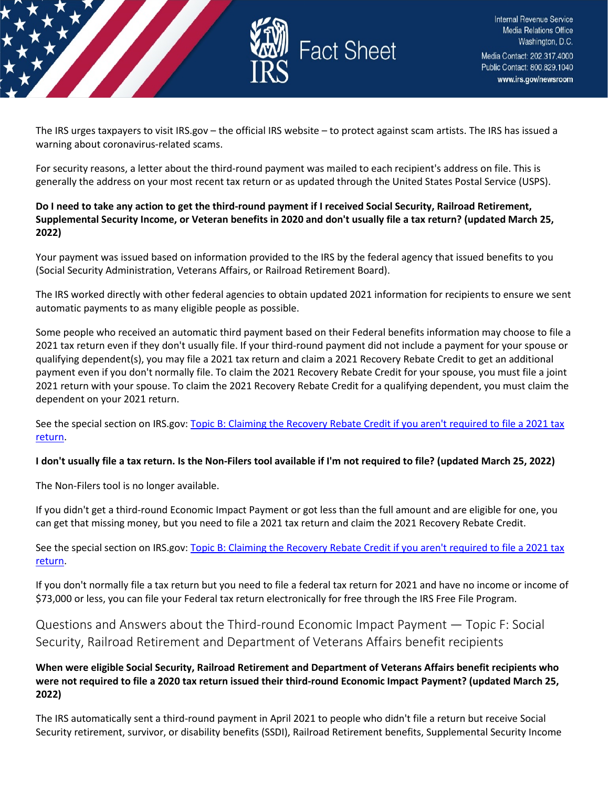

The IRS urges taxpayers to visit IRS.gov – the official IRS website – to protect against scam artists. The IRS has issued a warning about coronavirus-related scams.

For security reasons, a letter about the third-round payment was mailed to each recipient's address on file. This is generally the address on your most recent tax return or as updated through the United States Postal Service (USPS).

## **Do I need to take any action to get the third-round payment if I received Social Security, Railroad Retirement, Supplemental Security Income, or Veteran benefits in 2020 and don't usually file a tax return? (updated March 25, 2022)**

Your payment was issued based on information provided to the IRS by the federal agency that issued benefits to you (Social Security Administration, Veterans Affairs, or Railroad Retirement Board).

The IRS worked directly with other federal agencies to obtain updated 2021 information for recipients to ensure we sent automatic payments to as many eligible people as possible.

Some people who received an automatic third payment based on their Federal benefits information may choose to file a 2021 tax return even if they don't usually file. If your third-round payment did not include a payment for your spouse or qualifying dependent(s), you may file a 2021 tax return and claim a 2021 Recovery Rebate Credit to get an additional payment even if you don't normally file. To claim the 2021 Recovery Rebate Credit for your spouse, you must file a joint 2021 return with your spouse. To claim the 2021 Recovery Rebate Credit for a qualifying dependent, you must claim the dependent on your 2021 return.

See the special section on IRS.gov[: Topic B: Claiming the Recovery Rebate Credit if you aren't required to file a 2021 tax](https://www.irs.gov/newsroom/2021-recovery-rebate-credit-topic-b-claiming-the-2021-recovery-rebate-credit-if-you-arent-required-to-file-a-tax-return)  [return.](https://www.irs.gov/newsroom/2021-recovery-rebate-credit-topic-b-claiming-the-2021-recovery-rebate-credit-if-you-arent-required-to-file-a-tax-return)

## **I don't usually file a tax return. Is the Non-Filers tool available if I'm not required to file? (updated March 25, 2022)**

The Non-Filers tool is no longer available.

If you didn't get a third-round Economic Impact Payment or got less than the full amount and are eligible for one, you can get that missing money, but you need to file a 2021 tax return and claim the 2021 Recovery Rebate Credit.

See the special section on IRS.gov[: Topic B: Claiming the Recovery Rebate Credit if you aren't required to file a 2021 tax](https://www.irs.gov/newsroom/2021-recovery-rebate-credit-topic-b-claiming-the-2021-recovery-rebate-credit-if-you-arent-required-to-file-a-tax-return)  [return.](https://www.irs.gov/newsroom/2021-recovery-rebate-credit-topic-b-claiming-the-2021-recovery-rebate-credit-if-you-arent-required-to-file-a-tax-return)

If you don't normally file a tax return but you need to file a federal tax return for 2021 and have no income or income of \$73,000 or less, you can file your Federal tax return electronically for free through the IRS Free File Program.

<span id="page-12-0"></span>Questions and Answers about the Third-round Economic Impact Payment — Topic F: Social Security, Railroad Retirement and Department of Veterans Affairs benefit recipients

## **When were eligible Social Security, Railroad Retirement and Department of Veterans Affairs benefit recipients who were not required to file a 2020 tax return issued their third-round Economic Impact Payment? (updated March 25, 2022)**

The IRS automatically sent a third-round payment in April 2021 to people who didn't file a return but receive Social Security retirement, survivor, or disability benefits (SSDI), Railroad Retirement benefits, Supplemental Security Income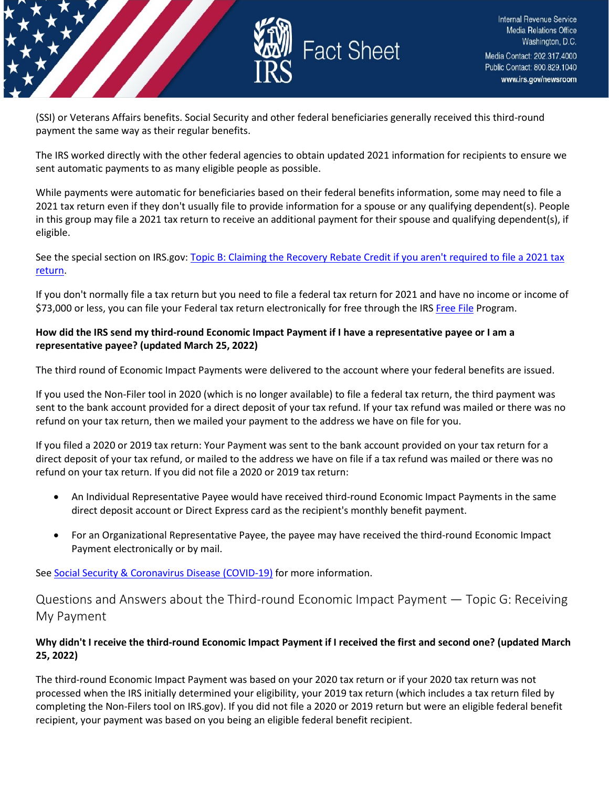

(SSI) or Veterans Affairs benefits. Social Security and other federal beneficiaries generally received this third-round payment the same way as their regular benefits.

The IRS worked directly with the other federal agencies to obtain updated 2021 information for recipients to ensure we sent automatic payments to as many eligible people as possible.

While payments were automatic for beneficiaries based on their federal benefits information, some may need to file a 2021 tax return even if they don't usually file to provide information for a spouse or any qualifying dependent(s). People in this group may file a 2021 tax return to receive an additional payment for their spouse and qualifying dependent(s), if eligible.

See the special section on IRS.gov[: Topic B: Claiming the Recovery Rebate Credit if you aren't required to file a 2021 tax](https://www.irs.gov/newsroom/2021-recovery-rebate-credit-topic-b-claiming-the-2021-recovery-rebate-credit-if-you-arent-required-to-file-a-tax-return)  [return.](https://www.irs.gov/newsroom/2021-recovery-rebate-credit-topic-b-claiming-the-2021-recovery-rebate-credit-if-you-arent-required-to-file-a-tax-return)

If you don't normally file a tax return but you need to file a federal tax return for 2021 and have no income or income of \$73,000 or less, you can file your Federal tax return electronically for free through the IR[S Free File](https://www.irs.gov/filing/free-file-do-your-federal-taxes-for-free) Program.

## **How did the IRS send my third-round Economic Impact Payment if I have a representative payee or I am a representative payee? (updated March 25, 2022)**

The third round of Economic Impact Payments were delivered to the account where your federal benefits are issued.

If you used the Non-Filer tool in 2020 (which is no longer available) to file a federal tax return, the third payment was sent to the bank account provided for a direct deposit of your tax refund. If your tax refund was mailed or there was no refund on your tax return, then we mailed your payment to the address we have on file for you.

If you filed a 2020 or 2019 tax return: Your Payment was sent to the bank account provided on your tax return for a direct deposit of your tax refund, or mailed to the address we have on file if a tax refund was mailed or there was no refund on your tax return. If you did not file a 2020 or 2019 tax return:

- An Individual Representative Payee would have received third-round Economic Impact Payments in the same direct deposit account or Direct Express card as the recipient's monthly benefit payment.
- For an Organizational Representative Payee, the payee may have received the third-round Economic Impact Payment electronically or by mail.

Se[e Social Security & Coronavirus Disease \(COVID-19\)](https://www.ssa.gov/coronavirus/) for more information.

<span id="page-13-0"></span>Questions and Answers about the Third-round Economic Impact Payment — Topic G: Receiving My Payment

## **Why didn't I receive the third-round Economic Impact Payment if I received the first and second one? (updated March 25, 2022)**

The third-round Economic Impact Payment was based on your 2020 tax return or if your 2020 tax return was not processed when the IRS initially determined your eligibility, your 2019 tax return (which includes a tax return filed by completing the Non-Filers tool on IRS.gov). If you did not file a 2020 or 2019 return but were an eligible federal benefit recipient, your payment was based on you being an eligible federal benefit recipient.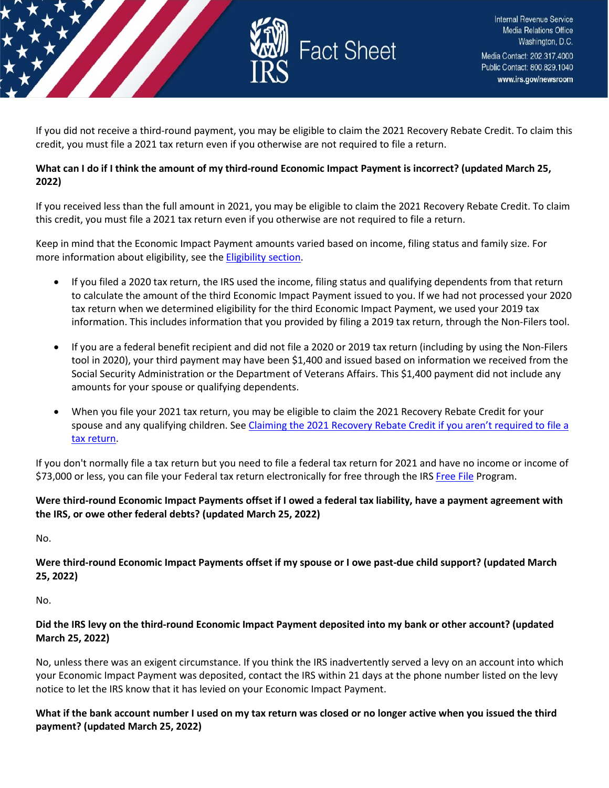

If you did not receive a third-round payment, you may be eligible to claim the 2021 Recovery Rebate Credit. To claim this credit, you must file a 2021 tax return even if you otherwise are not required to file a return.

## **What can I do if I think the amount of my third-round Economic Impact Payment is incorrect? (updated March 25, 2022)**

If you received less than the full amount in 2021, you may be eligible to claim the 2021 Recovery Rebate Credit. To claim this credit, you must file a 2021 tax return even if you otherwise are not required to file a return.

Keep in mind that the Economic Impact Payment amounts varied based on income, filing status and family size. For more information about eligibility, see th[e Eligibility section.](https://www.irs.gov/newsroom/questions-and-answers-about-the-third-economic-impact-payment-topic-b-eligibility-and-calculation-of-the-third-payment)

- If you filed a 2020 tax return, the IRS used the income, filing status and qualifying dependents from that return to calculate the amount of the third Economic Impact Payment issued to you. If we had not processed your 2020 tax return when we determined eligibility for the third Economic Impact Payment, we used your 2019 tax information. This includes information that you provided by filing a 2019 tax return, through the Non-Filers tool.
- If you are a federal benefit recipient and did not file a 2020 or 2019 tax return (including by using the Non-Filers tool in 2020), your third payment may have been \$1,400 and issued based on information we received from the Social Security Administration or the Department of Veterans Affairs. This \$1,400 payment did not include any amounts for your spouse or qualifying dependents.
- When you file your 2021 tax return, you may be eligible to claim the 2021 Recovery Rebate Credit for your spouse and any qualifying children. See Claiming the 2021 Recovery Rebate Credit if you aren't required to file a [tax return.](https://www.irs.gov/newsroom/2021-recovery-rebate-credit-topic-b-claiming-the-2021-recovery-rebate-credit-if-you-arent-required-to-file-a-tax-return)

If you don't normally file a tax return but you need to file a federal tax return for 2021 and have no income or income of \$73,000 or less, you can file your Federal tax return electronically for free through the IR[S Free File](https://www.irs.gov/filing/free-file-do-your-federal-taxes-for-free) Program.

## **Were third-round Economic Impact Payments offset if I owed a federal tax liability, have a payment agreement with the IRS, or owe other federal debts? (updated March 25, 2022)**

No.

**Were third-round Economic Impact Payments offset if my spouse or I owe past-due child support? (updated March 25, 2022)**

No.

## **Did the IRS levy on the third-round Economic Impact Payment deposited into my bank or other account? (updated March 25, 2022)**

No, unless there was an exigent circumstance. If you think the IRS inadvertently served a levy on an account into which your Economic Impact Payment was deposited, contact the IRS within 21 days at the phone number listed on the levy notice to let the IRS know that it has levied on your Economic Impact Payment.

**What if the bank account number I used on my tax return was closed or no longer active when you issued the third payment? (updated March 25, 2022)**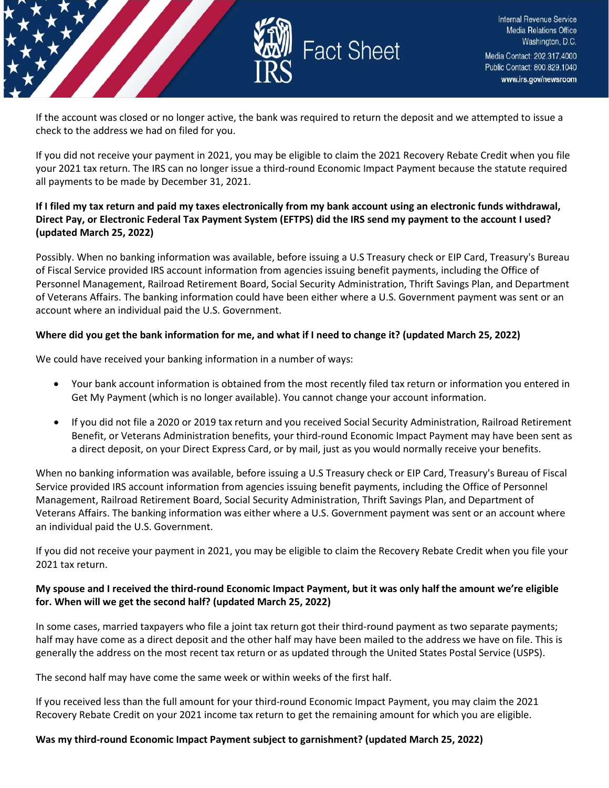

If the account was closed or no longer active, the bank was required to return the deposit and we attempted to issue a check to the address we had on filed for you.

If you did not receive your payment in 2021, you may be eligible to claim the 2021 Recovery Rebate Credit when you file your 2021 tax return. The IRS can no longer issue a third-round Economic Impact Payment because the statute required all payments to be made by December 31, 2021.

## **If I filed my tax return and paid my taxes electronically from my bank account using an electronic funds withdrawal, Direct Pay, or Electronic Federal Tax Payment System (EFTPS) did the IRS send my payment to the account I used? (updated March 25, 2022)**

Possibly. When no banking information was available, before issuing a U.S Treasury check or EIP Card, Treasury's Bureau of Fiscal Service provided IRS account information from agencies issuing benefit payments, including the Office of Personnel Management, Railroad Retirement Board, Social Security Administration, Thrift Savings Plan, and Department of Veterans Affairs. The banking information could have been either where a U.S. Government payment was sent or an account where an individual paid the U.S. Government.

#### **Where did you get the bank information for me, and what if I need to change it? (updated March 25, 2022)**

We could have received your banking information in a number of ways:

- Your bank account information is obtained from the most recently filed tax return or information you entered in Get My Payment (which is no longer available). You cannot change your account information.
- If you did not file a 2020 or 2019 tax return and you received Social Security Administration, Railroad Retirement Benefit, or Veterans Administration benefits, your third-round Economic Impact Payment may have been sent as a direct deposit, on your Direct Express Card, or by mail, just as you would normally receive your benefits.

When no banking information was available, before issuing a U.S Treasury check or EIP Card, Treasury's Bureau of Fiscal Service provided IRS account information from agencies issuing benefit payments, including the Office of Personnel Management, Railroad Retirement Board, Social Security Administration, Thrift Savings Plan, and Department of Veterans Affairs. The banking information was either where a U.S. Government payment was sent or an account where an individual paid the U.S. Government.

If you did not receive your payment in 2021, you may be eligible to claim the Recovery Rebate Credit when you file your 2021 tax return.

## **My spouse and I received the third-round Economic Impact Payment, but it was only half the amount we're eligible for. When will we get the second half? (updated March 25, 2022)**

In some cases, married taxpayers who file a joint tax return got their third-round payment as two separate payments; half may have come as a direct deposit and the other half may have been mailed to the address we have on file. This is generally the address on the most recent tax return or as updated through the United States Postal Service (USPS).

The second half may have come the same week or within weeks of the first half.

If you received less than the full amount for your third-round Economic Impact Payment, you may claim the 2021 Recovery Rebate Credit on your 2021 income tax return to get the remaining amount for which you are eligible.

#### **Was my third-round Economic Impact Payment subject to garnishment? (updated March 25, 2022)**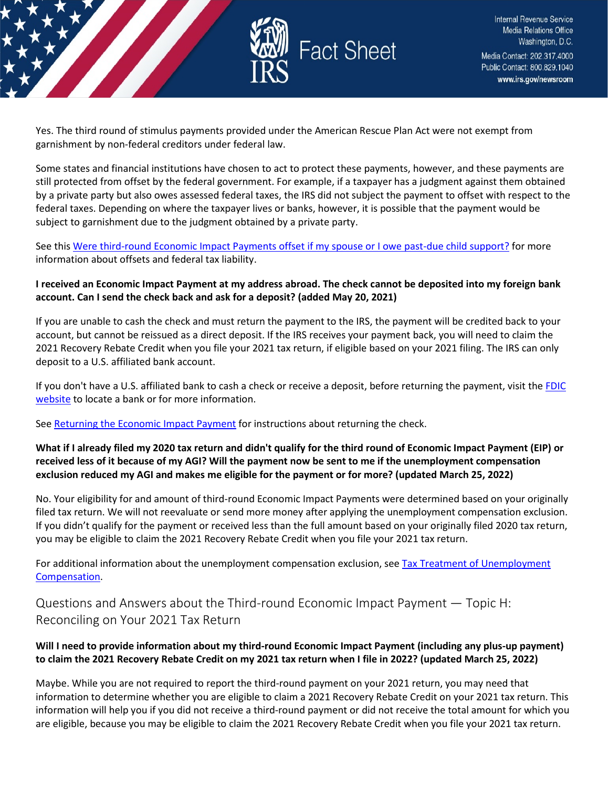

Yes. The third round of stimulus payments provided under the American Rescue Plan Act were not exempt from garnishment by non-federal creditors under federal law.

Some states and financial institutions have chosen to act to protect these payments, however, and these payments are still protected from offset by the federal government. For example, if a taxpayer has a judgment against them obtained by a private party but also owes assessed federal taxes, the IRS did not subject the payment to offset with respect to the federal taxes. Depending on where the taxpayer lives or banks, however, it is possible that the payment would be subject to garnishment due to the judgment obtained by a private party.

See this [Were third-round Economic Impact Payments offset if my spouse or I owe past-due child support?](https://www.irs.gov/newsroom/questions-and-answers-about-the-third-economic-impact-payment-topic-g-receiving-my-payment#offset) for more information about offsets and federal tax liability.

## **I received an Economic Impact Payment at my address abroad. The check cannot be deposited into my foreign bank account. Can I send the check back and ask for a deposit? (added May 20, 2021)**

If you are unable to cash the check and must return the payment to the IRS, the payment will be credited back to your account, but cannot be reissued as a direct deposit. If the IRS receives your payment back, you will need to claim the 2021 Recovery Rebate Credit when you file your 2021 tax return, if eligible based on your 2021 filing. The IRS can only deposit to a U.S. affiliated bank account.

If you don't have a U.S. affiliated bank to cash a check or receive a deposit, before returning the payment, visit the FDIC [website](https://www.fdic.gov/about/initiatives/getbanked/index.html) to locate a bank or for more information.

Se[e Returning the Economic Impact Payment](https://www.irs.gov/newsroom/economic-impact-payment-information-center-topic-i-returning-the-economic-impact-payment) for instructions about returning the check.

## **What if I already filed my 2020 tax return and didn't qualify for the third round of Economic Impact Payment (EIP) or received less of it because of my AGI? Will the payment now be sent to me if the unemployment compensation exclusion reduced my AGI and makes me eligible for the payment or for more? (updated March 25, 2022)**

No. Your eligibility for and amount of third-round Economic Impact Payments were determined based on your originally filed tax return. We will not reevaluate or send more money after applying the unemployment compensation exclusion. If you didn't qualify for the payment or received less than the full amount based on your originally filed 2020 tax return, you may be eligible to claim the 2021 Recovery Rebate Credit when you file your 2021 tax return.

For additional information about the unemployment compensation exclusion, see Tax Treatment of Unemployment [Compensation.](https://www.irs.gov/newsroom/tax-treatment-of-unemployment-compensation)

<span id="page-16-0"></span>Questions and Answers about the Third-round Economic Impact Payment — Topic H: Reconciling on Your 2021 Tax Return

## **Will I need to provide information about my third-round Economic Impact Payment (including any plus-up payment) to claim the 2021 Recovery Rebate Credit on my 2021 tax return when I file in 2022? (updated March 25, 2022)**

Maybe. While you are not required to report the third-round payment on your 2021 return, you may need that information to determine whether you are eligible to claim a 2021 Recovery Rebate Credit on your 2021 tax return. This information will help you if you did not receive a third-round payment or did not receive the total amount for which you are eligible, because you may be eligible to claim the 2021 Recovery Rebate Credit when you file your 2021 tax return.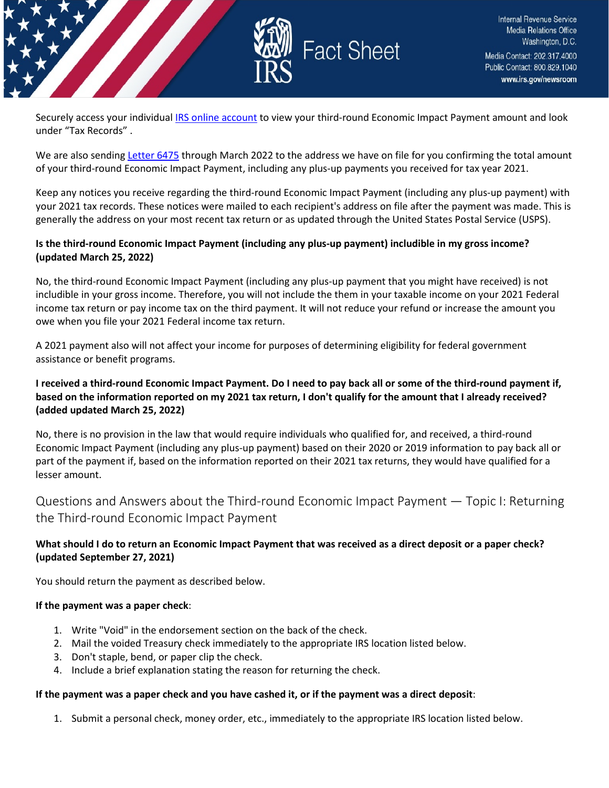

Securely access your individual [IRS online account](https://www.irs.gov/payments/your-online-account) to view your third-round Economic Impact Payment amount and look under "Tax Records" .

We are also sendin[g Letter 6475](https://www.irs.gov/individuals/understanding-your-letter-6475) through March 2022 to the address we have on file for you confirming the total amount of your third-round Economic Impact Payment, including any plus-up payments you received for tax year 2021.

Keep any notices you receive regarding the third-round Economic Impact Payment (including any plus-up payment) with your 2021 tax records. These notices were mailed to each recipient's address on file after the payment was made. This is generally the address on your most recent tax return or as updated through the United States Postal Service (USPS).

## **Is the third-round Economic Impact Payment (including any plus-up payment) includible in my gross income? (updated March 25, 2022)**

No, the third-round Economic Impact Payment (including any plus-up payment that you might have received) is not includible in your gross income. Therefore, you will not include the them in your taxable income on your 2021 Federal income tax return or pay income tax on the third payment. It will not reduce your refund or increase the amount you owe when you file your 2021 Federal income tax return.

A 2021 payment also will not affect your income for purposes of determining eligibility for federal government assistance or benefit programs.

## **I received a third-round Economic Impact Payment. Do I need to pay back all or some of the third-round payment if, based on the information reported on my 2021 tax return, I don't qualify for the amount that I already received? (added updated March 25, 2022)**

No, there is no provision in the law that would require individuals who qualified for, and received, a third-round Economic Impact Payment (including any plus-up payment) based on their 2020 or 2019 information to pay back all or part of the payment if, based on the information reported on their 2021 tax returns, they would have qualified for a lesser amount.

<span id="page-17-0"></span>Questions and Answers about the Third-round Economic Impact Payment — Topic I: Returning the Third-round Economic Impact Payment

## **What should I do to return an Economic Impact Payment that was received as a direct deposit or a paper check? (updated September 27, 2021)**

You should return the payment as described below.

## **If the payment was a paper check**:

- 1. Write "Void" in the endorsement section on the back of the check.
- 2. Mail the voided Treasury check immediately to the appropriate IRS location listed below.
- 3. Don't staple, bend, or paper clip the check.
- 4. Include a brief explanation stating the reason for returning the check.

#### **If the payment was a paper check and you have cashed it, or if the payment was a direct deposit**:

1. Submit a personal check, money order, etc., immediately to the appropriate IRS location listed below.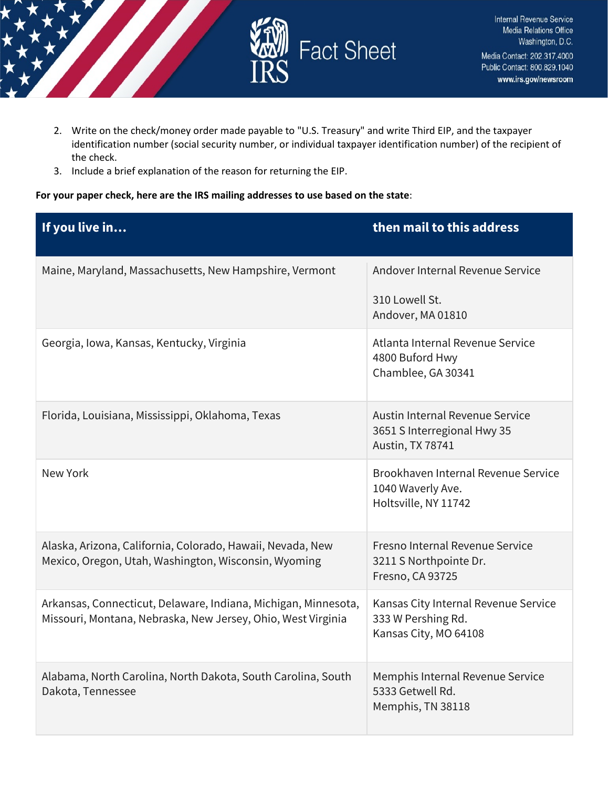

- 2. Write on the check/money order made payable to "U.S. Treasury" and write Third EIP, and the taxpayer identification number (social security number, or individual taxpayer identification number) of the recipient of the check.
- 3. Include a brief explanation of the reason for returning the EIP.

#### **For your paper check, here are the IRS mailing addresses to use based on the state**:

| If you live in                                                                                                                 | then mail to this address                                                           |
|--------------------------------------------------------------------------------------------------------------------------------|-------------------------------------------------------------------------------------|
| Maine, Maryland, Massachusetts, New Hampshire, Vermont                                                                         | Andover Internal Revenue Service                                                    |
|                                                                                                                                | 310 Lowell St.<br>Andover, MA 01810                                                 |
| Georgia, Iowa, Kansas, Kentucky, Virginia                                                                                      | Atlanta Internal Revenue Service<br>4800 Buford Hwy<br>Chamblee, GA 30341           |
| Florida, Louisiana, Mississippi, Oklahoma, Texas                                                                               | Austin Internal Revenue Service<br>3651 S Interregional Hwy 35<br>Austin, TX 78741  |
| New York                                                                                                                       | Brookhaven Internal Revenue Service<br>1040 Waverly Ave.<br>Holtsville, NY 11742    |
| Alaska, Arizona, California, Colorado, Hawaii, Nevada, New<br>Mexico, Oregon, Utah, Washington, Wisconsin, Wyoming             | Fresno Internal Revenue Service<br>3211 S Northpointe Dr.<br>Fresno, CA 93725       |
| Arkansas, Connecticut, Delaware, Indiana, Michigan, Minnesota,<br>Missouri, Montana, Nebraska, New Jersey, Ohio, West Virginia | Kansas City Internal Revenue Service<br>333 W Pershing Rd.<br>Kansas City, MO 64108 |
| Alabama, North Carolina, North Dakota, South Carolina, South<br>Dakota, Tennessee                                              | Memphis Internal Revenue Service<br>5333 Getwell Rd.<br>Memphis, TN 38118           |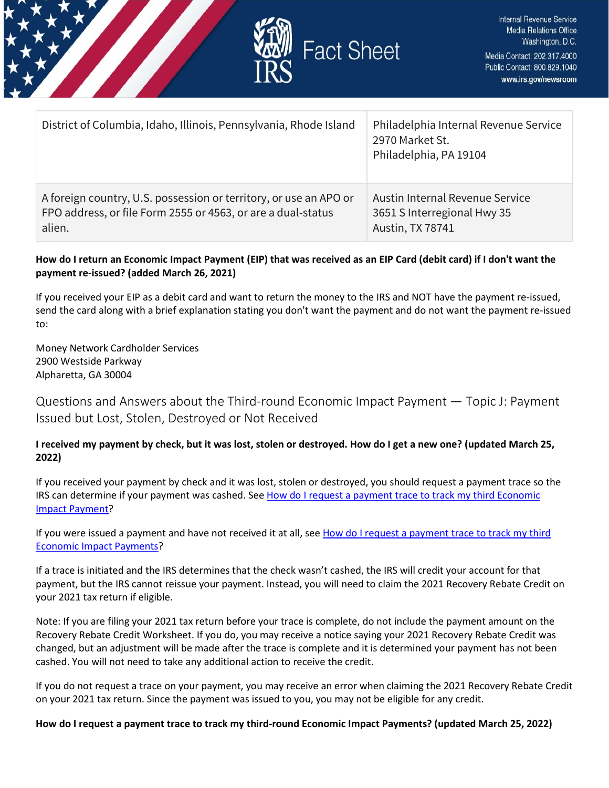

| District of Columbia, Idaho, Illinois, Pennsylvania, Rhode Island | Philadelphia Internal Revenue Service<br>2970 Market St.<br>Philadelphia, PA 19104 |
|-------------------------------------------------------------------|------------------------------------------------------------------------------------|
| A foreign country, U.S. possession or territory, or use an APO or | Austin Internal Revenue Service                                                    |
| FPO address, or file Form 2555 or 4563, or are a dual-status      | 3651 S Interregional Hwy 35                                                        |
| alien.                                                            | Austin, TX 78741                                                                   |

## **How do I return an Economic Impact Payment (EIP) that was received as an EIP Card (debit card) if I don't want the payment re-issued? (added March 26, 2021)**

If you received your EIP as a debit card and want to return the money to the IRS and NOT have the payment re-issued, send the card along with a brief explanation stating you don't want the payment and do not want the payment re-issued to:

Money Network Cardholder Services 2900 Westside Parkway Alpharetta, GA 30004

<span id="page-19-0"></span>Questions and Answers about the Third-round Economic Impact Payment — Topic J: Payment Issued but Lost, Stolen, Destroyed or Not Received

## **I received my payment by check, but it was lost, stolen or destroyed. How do I get a new one? (updated March 25, 2022)**

If you received your payment by check and it was lost, stolen or destroyed, you should request a payment trace so the IRS can determine if your payment was cashed. See [How do I request a payment trace to track my third Economic](https://www.irs.gov/newsroom/questions-and-answers-about-the-third-economic-impact-payment-topic-j-payment-issued-but-lost-stolen-destroyed-or-not-received#howdoitrack)  [Impact Payment?](https://www.irs.gov/newsroom/questions-and-answers-about-the-third-economic-impact-payment-topic-j-payment-issued-but-lost-stolen-destroyed-or-not-received#howdoitrack)

If you were issued a payment and have not received it at all, se[e How do I request a payment trace to track my third](https://www.irs.gov/newsroom/questions-and-answers-about-the-third-economic-impact-payment-topic-j-payment-issued-but-lost-stolen-destroyed-or-not-received#howdoitrack)  [Economic Impact Payments?](https://www.irs.gov/newsroom/questions-and-answers-about-the-third-economic-impact-payment-topic-j-payment-issued-but-lost-stolen-destroyed-or-not-received#howdoitrack)

If a trace is initiated and the IRS determines that the check wasn't cashed, the IRS will credit your account for that payment, but the IRS cannot reissue your payment. Instead, you will need to claim the 2021 Recovery Rebate Credit on your 2021 tax return if eligible.

Note: If you are filing your 2021 tax return before your trace is complete, do not include the payment amount on the Recovery Rebate Credit Worksheet. If you do, you may receive a notice saying your 2021 Recovery Rebate Credit was changed, but an adjustment will be made after the trace is complete and it is determined your payment has not been cashed. You will not need to take any additional action to receive the credit.

If you do not request a trace on your payment, you may receive an error when claiming the 2021 Recovery Rebate Credit on your 2021 tax return. Since the payment was issued to you, you may not be eligible for any credit.

## **How do I request a payment trace to track my third-round Economic Impact Payments? (updated March 25, 2022)**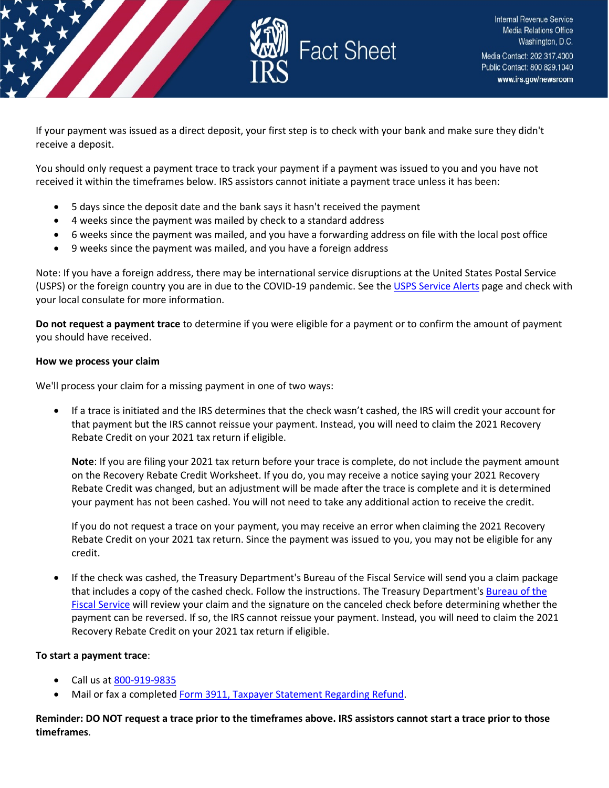

If your payment was issued as a direct deposit, your first step is to check with your bank and make sure they didn't receive a deposit.

You should only request a payment trace to track your payment if a payment was issued to you and you have not received it within the timeframes below. IRS assistors cannot initiate a payment trace unless it has been:

- 5 days since the deposit date and the bank says it hasn't received the payment
- 4 weeks since the payment was mailed by check to a standard address
- 6 weeks since the payment was mailed, and you have a forwarding address on file with the local post office
- 9 weeks since the payment was mailed, and you have a foreign address

Note: If you have a foreign address, there may be international service disruptions at the United States Postal Service (USPS) or the foreign country you are in due to the COVID-19 pandemic. See the [USPS Service Alerts](https://about.usps.com/newsroom/service-alerts/) page and check with your local consulate for more information.

**Do not request a payment trace** to determine if you were eligible for a payment or to confirm the amount of payment you should have received.

#### **How we process your claim**

We'll process your claim for a missing payment in one of two ways:

• If a trace is initiated and the IRS determines that the check wasn't cashed, the IRS will credit your account for that payment but the IRS cannot reissue your payment. Instead, you will need to claim the 2021 Recovery Rebate Credit on your 2021 tax return if eligible.

**Note**: If you are filing your 2021 tax return before your trace is complete, do not include the payment amount on the Recovery Rebate Credit Worksheet. If you do, you may receive a notice saying your 2021 Recovery Rebate Credit was changed, but an adjustment will be made after the trace is complete and it is determined your payment has not been cashed. You will not need to take any additional action to receive the credit.

If you do not request a trace on your payment, you may receive an error when claiming the 2021 Recovery Rebate Credit on your 2021 tax return. Since the payment was issued to you, you may not be eligible for any credit.

• If the check was cashed, the Treasury Department's Bureau of the Fiscal Service will send you a claim package that includes a copy of the cashed check. Follow the instructions. The Treasury Department's Bureau of the [Fiscal Service](https://www.fiscal.treasury.gov/) will review your claim and the signature on the canceled check before determining whether the payment can be reversed. If so, the IRS cannot reissue your payment. Instead, you will need to claim the 2021 Recovery Rebate Credit on your 2021 tax return if eligible.

#### **To start a payment trace**:

- Call us a[t 800-919-9835](tel:800-919-9835)
- Mail or fax a complete[d Form 3911, Taxpayer Statement Regarding Refund.](https://www.irs.gov/pub/irs-pdf/f3911.pdf)

**Reminder: DO NOT request a trace prior to the timeframes above. IRS assistors cannot start a trace prior to those timeframes**.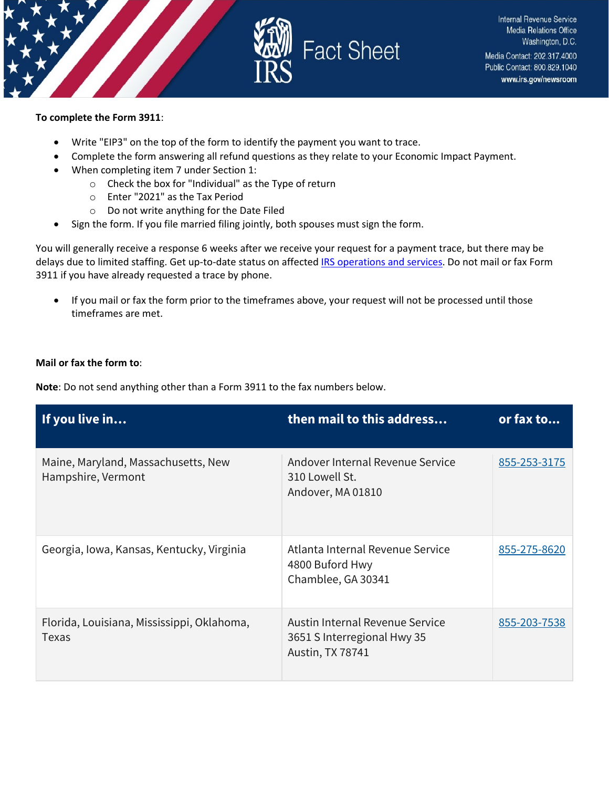



#### **To complete the Form 3911**:

- Write "EIP3" on the top of the form to identify the payment you want to trace.
- Complete the form answering all refund questions as they relate to your Economic Impact Payment.
- When completing item 7 under Section 1:
	- o Check the box for "Individual" as the Type of return
	- o Enter "2021" as the Tax Period
	- o Do not write anything for the Date Filed
- Sign the form. If you file married filing jointly, both spouses must sign the form.

You will generally receive a response 6 weeks after we receive your request for a payment trace, but there may be delays due to limited staffing. Get up-to-date status on affected [IRS operations and services.](https://www.irs.gov/newsroom/irs-operations-during-covid-19-mission-critical-functions-continue) Do not mail or fax Form 3911 if you have already requested a trace by phone.

• If you mail or fax the form prior to the timeframes above, your request will not be processed until those timeframes are met.

#### **Mail or fax the form to**:

**Note**: Do not send anything other than a Form 3911 to the fax numbers below.

| If you live in                                            | then mail to this address                                                          | or fax to    |
|-----------------------------------------------------------|------------------------------------------------------------------------------------|--------------|
| Maine, Maryland, Massachusetts, New<br>Hampshire, Vermont | Andover Internal Revenue Service<br>310 Lowell St.<br>Andover, MA 01810            | 855-253-3175 |
| Georgia, Iowa, Kansas, Kentucky, Virginia                 | Atlanta Internal Revenue Service<br>4800 Buford Hwy<br>Chamblee, GA 30341          | 855-275-8620 |
| Florida, Louisiana, Mississippi, Oklahoma,<br>Texas       | Austin Internal Revenue Service<br>3651 S Interregional Hwy 35<br>Austin, TX 78741 | 855-203-7538 |